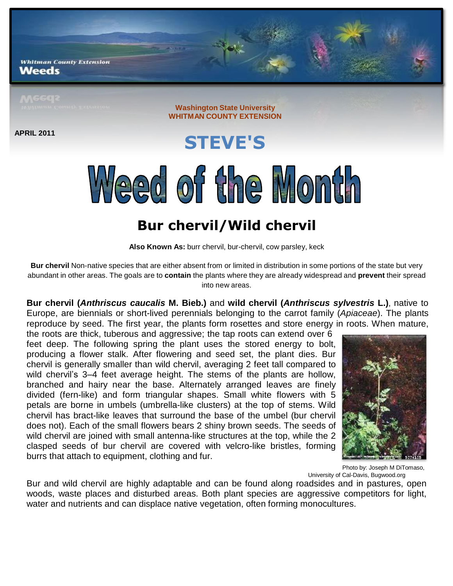**Whitman County Extension** Weeds

**Washington State University WHITMAN COUNTY EXTENSION**

**APRIL 2011**

**STEVE'S** Weed of the Month

## **Bur chervil/Wild chervil**

**Also Known As:** burr chervil, bur-chervil, cow parsley, keck

**Bur chervil** Non-native species that are either absent from or limited in distribution in some portions of the state but very abundant in other areas. The goals are to **contain** the plants where they are already widespread and **prevent** their spread into new areas.

**Bur chervil (***Anthriscus caucalis* **M. Bieb.)** and **wild chervil (***Anthriscus sylvestris* **L.)**, native to Europe, are biennials or short-lived perennials belonging to the carrot family (*Apiaceae*). The plants reproduce by seed. The first year, the plants form rosettes and store energy in roots. When mature,

the roots are thick, tuberous and aggressive; the tap roots can extend over 6 feet deep. The following spring the plant uses the stored energy to bolt, producing a flower stalk. After flowering and seed set, the plant dies. Bur chervil is generally smaller than wild chervil, averaging 2 feet tall compared to wild chervil's 3–4 feet average height. The stems of the plants are hollow, branched and hairy near the base. Alternately arranged leaves are finely divided (fern-like) and form triangular shapes. Small white flowers with 5 petals are borne in umbels (umbrella-like clusters) at the top of stems. Wild chervil has bract-like leaves that surround the base of the umbel (bur chervil does not). Each of the small flowers bears 2 shiny brown seeds. The seeds of wild chervil are joined with small antenna-like structures at the top, while the 2 clasped seeds of bur chervil are covered with velcro-like bristles, forming burrs that attach to equipment, clothing and fur.



Photo by: Joseph M DiTomaso, University of Cal-Davis, Bugwood.org

Bur and wild chervil are highly adaptable and can be found along roadsides and in pastures, open woods, waste places and disturbed areas. Both plant species are aggressive competitors for light, water and nutrients and can displace native vegetation, often forming monocultures.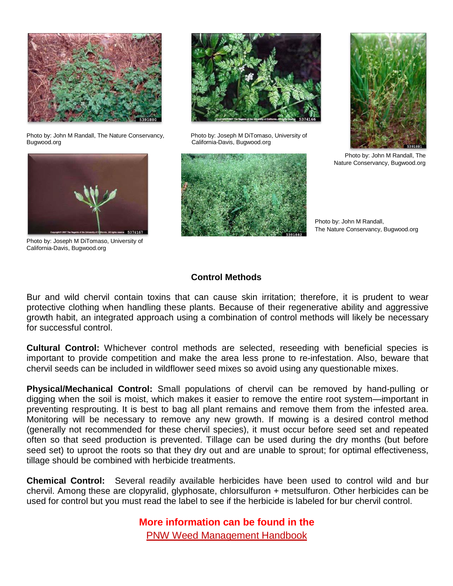

Photo by: John M Randall, The Nature Conservancy, Photo by: Joseph M DiTomaso, University of Bugwood.org **California-Davis, Bugwood.org** California-Davis, Bugwood.org



Photo by: Joseph M DiTomaso, University of California-Davis, Bugwood.org







Photo by: John M Randall, The Nature Conservancy, Bugwood.org

Photo by: John M Randall, The Nature Conservancy, Bugwood.org

## **Control Methods**

Bur and wild chervil contain toxins that can cause skin irritation; therefore, it is prudent to wear protective clothing when handling these plants. Because of their regenerative ability and aggressive growth habit, an integrated approach using a combination of control methods will likely be necessary for successful control.

**Cultural Control:** Whichever control methods are selected, reseeding with beneficial species is important to provide competition and make the area less prone to re-infestation. Also, beware that chervil seeds can be included in wildflower seed mixes so avoid using any questionable mixes.

**Physical/Mechanical Control:** Small populations of chervil can be removed by hand-pulling or digging when the soil is moist, which makes it easier to remove the entire root system—important in preventing resprouting. It is best to bag all plant remains and remove them from the infested area. Monitoring will be necessary to remove any new growth. If mowing is a desired control method (generally not recommended for these chervil species), it must occur before seed set and repeated often so that seed production is prevented. Tillage can be used during the dry months (but before seed set) to uproot the roots so that they dry out and are unable to sprout; for optimal effectiveness, tillage should be combined with herbicide treatments.

**Chemical Control:** Several readily available herbicides have been used to control wild and bur chervil. Among these are clopyralid, glyphosate, chlorsulfuron + metsulfuron. Other herbicides can be used for control but you must read the label to see if the herbicide is labeled for bur chervil control.

**More information can be found in the**

PNW Weed [Management](http://uspest.org/pnw/weeds) Handbook